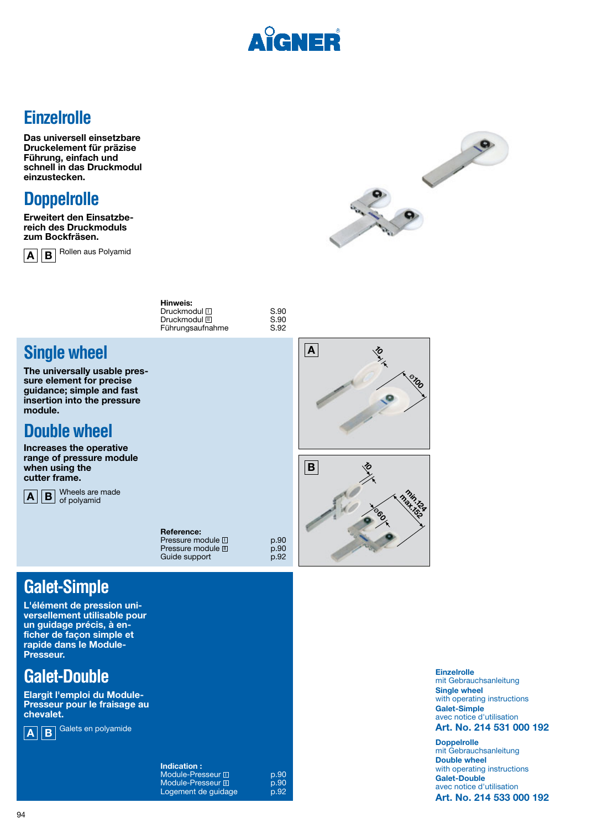

## **Einzelrolle**

**Das universell einsetzbare Druckelement für präzise Führung, einfach und schnell in das Druckmodul einzustecken.**



**Erweitert den Einsatzbereich des Druckmoduls zum Bockfräsen.**



 $\overline{A}$   $\overline{B}$  Rollen aus Polyamid



| rinweis:          |      |
|-------------------|------|
| Druckmodul $\Box$ | S.90 |
| Druckmodul Ⅲ      | S.90 |
| Führungsaufnahme  | S.92 |
|                   |      |

**Hinweis:**

## **Single wheel**

**The universally usable pressure element for precise guidance; simple and fast insertion into the pressure module.** 

# **Double wheel**

**Increases the operative range of pressure module when using the cutter frame.**

 $\overline{A}$   $\overline{B}$  Wheels are made

| Reference:            |      |
|-----------------------|------|
| Pressure module $\Pi$ | p.90 |
| Pressure module III   | p.90 |
| Guide support         | D.92 |

## **Galet-Simple**

**L'élément de pression universellement utilisable pour un guidage précis, à enficher de façon simple et rapide dans le Module-Presseur.**

## **Galet-Double**

**Elargit l'emploi du Module-Presseur pour le fraisage au chevalet.**



**A B** Galets en polyamide

**Indication :** Module-Presseur  $\square$  p.90<br>Module-Presseur  $\square$  p.90 Module-Presseur II **p.90** Logement de guidage b.92





**Einzelrolle** mit Gebrauchsanleitung **Single wheel** with operating instructions **Galet-Simple** avec notice d'utilisation

#### **Art. No. 214 531 000 192**

**Doppelrolle** mit Gebrauchsanleitung **Double wheel**  with operating instructions **Galet-Double** avec notice d'utilisation **Art. No. 214 533 000 192**